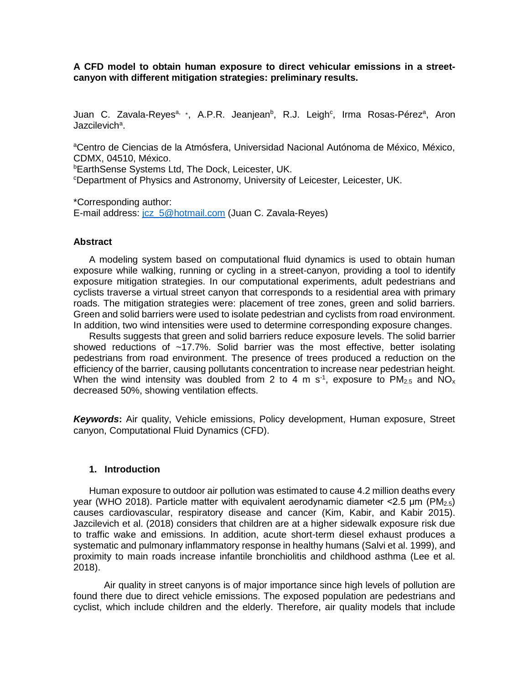**A CFD model to obtain human exposure to direct vehicular emissions in a streetcanyon with different mitigation strategies: preliminary results.**

Juan C. Zavala-Reyes<sup>a,</sup> \*, A.P.R. Jeanjean<sup>b</sup>, R.J. Leigh<sup>c</sup>, Irma Rosas-Pérez<sup>a</sup>, Aron Jazcilevich<sup>a</sup>.

<sup>a</sup>Centro de Ciencias de la Atmósfera, Universidad Nacional Autónoma de México, México, CDMX, 04510, México.

**bEarthSense Systems Ltd, The Dock, Leicester, UK.** 

<sup>c</sup>Department of Physics and Astronomy, University of Leicester, Leicester, UK.

\*Corresponding author: E-mail address: jcz\_5@hotmail.com (Juan C. Zavala-Reyes)

### **Abstract**

A modeling system based on computational fluid dynamics is used to obtain human exposure while walking, running or cycling in a street-canyon, providing a tool to identify exposure mitigation strategies. In our computational experiments, adult pedestrians and cyclists traverse a virtual street canyon that corresponds to a residential area with primary roads. The mitigation strategies were: placement of tree zones, green and solid barriers. Green and solid barriers were used to isolate pedestrian and cyclists from road environment. In addition, two wind intensities were used to determine corresponding exposure changes.

Results suggests that green and solid barriers reduce exposure levels. The solid barrier showed reductions of  $\sim$ 17.7%. Solid barrier was the most effective, better isolating pedestrians from road environment. The presence of trees produced a reduction on the efficiency of the barrier, causing pollutants concentration to increase near pedestrian height. When the wind intensity was doubled from 2 to 4 m s<sup>-1</sup>, exposure to PM<sub>2.5</sub> and NO<sub>x</sub> decreased 50%, showing ventilation effects.

*Keywords***:** Air quality, Vehicle emissions, Policy development, Human exposure, Street canyon, Computational Fluid Dynamics (CFD).

### **1. Introduction**

Human exposure to outdoor air pollution was estimated to cause 4.2 million deaths every year (WHO 2018). Particle matter with equivalent aerodynamic diameter  $\leq 2.5$  µm (PM<sub>2.5</sub>) causes cardiovascular, respiratory disease and cancer (Kim, Kabir, and Kabir 2015). Jazcilevich et al. (2018) considers that children are at a higher sidewalk exposure risk due to traffic wake and emissions. In addition, acute short-term diesel exhaust produces a systematic and pulmonary inflammatory response in healthy humans (Salvi et al. 1999), and proximity to main roads increase infantile bronchiolitis and childhood asthma (Lee et al. 2018).

Air quality in street canyons is of major importance since high levels of pollution are found there due to direct vehicle emissions. The exposed population are pedestrians and cyclist, which include children and the elderly. Therefore, air quality models that include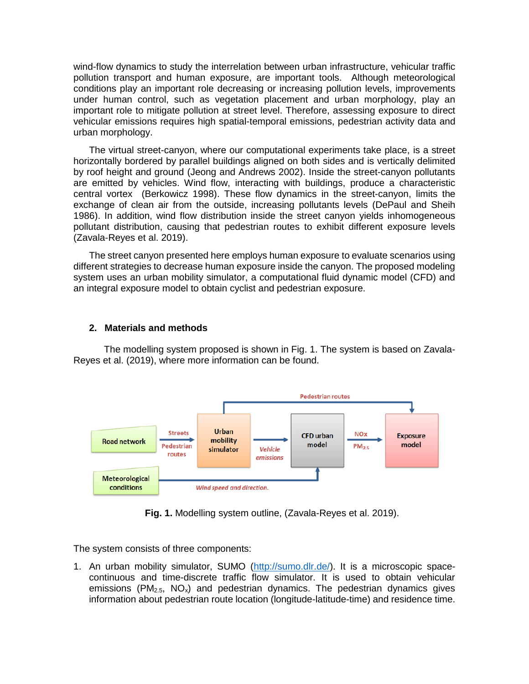wind-flow dynamics to study the interrelation between urban infrastructure, vehicular traffic pollution transport and human exposure, are important tools. Although meteorological conditions play an important role decreasing or increasing pollution levels, improvements under human control, such as vegetation placement and urban morphology, play an important role to mitigate pollution at street level. Therefore, assessing exposure to direct vehicular emissions requires high spatial-temporal emissions, pedestrian activity data and urban morphology.

The virtual street-canyon, where our computational experiments take place, is a street horizontally bordered by parallel buildings aligned on both sides and is vertically delimited by roof height and ground (Jeong and Andrews 2002). Inside the street-canyon pollutants are emitted by vehicles. Wind flow, interacting with buildings, produce a characteristic central vortex (Berkowicz 1998). These flow dynamics in the street-canyon, limits the exchange of clean air from the outside, increasing pollutants levels (DePaul and Sheih 1986). In addition, wind flow distribution inside the street canyon yields inhomogeneous pollutant distribution, causing that pedestrian routes to exhibit different exposure levels (Zavala-Reyes et al. 2019).

The street canyon presented here employs human exposure to evaluate scenarios using different strategies to decrease human exposure inside the canyon. The proposed modeling system uses an urban mobility simulator, a computational fluid dynamic model (CFD) and an integral exposure model to obtain cyclist and pedestrian exposure.

# **2. Materials and methods**

The modelling system proposed is shown in Fig. 1. The system is based on Zavala-Reyes et al. (2019), where more information can be found.



**Fig. 1.** Modelling system outline, (Zavala-Reyes et al. 2019).

The system consists of three components:

1. An urban mobility simulator, SUMO [\(http://sumo.dlr.de/\)](http://sumo.dlr.de/). It is a microscopic spacecontinuous and time-discrete traffic flow simulator. It is used to obtain vehicular emissions ( $PM_{2.5}$ ,  $NO_x$ ) and pedestrian dynamics. The pedestrian dynamics gives information about pedestrian route location (longitude-latitude-time) and residence time.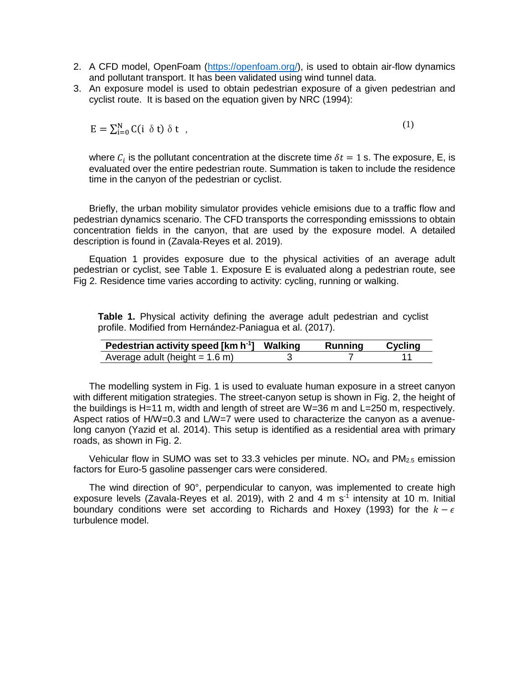- 2. A CFD model, OpenFoam [\(https://openfoam.org/\)](https://openfoam.org/), is used to obtain air-flow dynamics and pollutant transport. It has been validated using wind tunnel data.
- 3. An exposure model is used to obtain pedestrian exposure of a given pedestrian and cyclist route. It is based on the equation given by NRC (1994):

$$
E = \sum_{i=0}^{N} C(i \delta t) \delta t ,
$$

where  $C_i$  is the pollutant concentration at the discrete time  $\delta t = 1$  s. The exposure, E, is evaluated over the entire pedestrian route. Summation is taken to include the residence time in the canyon of the pedestrian or cyclist.

(1)

Briefly, the urban mobility simulator provides vehicle emisions due to a traffic flow and pedestrian dynamics scenario. The CFD transports the corresponding emisssions to obtain concentration fields in the canyon, that are used by the exposure model. A detailed description is found in (Zavala-Reyes et al. 2019).

Equation 1 provides exposure due to the physical activities of an average adult pedestrian or cyclist, see Table 1. Exposure E is evaluated along a pedestrian route, see Fig 2. Residence time varies according to activity: cycling, running or walking.

**Table 1.** Physical activity defining the average adult pedestrian and cyclist profile. Modified from Hernández-Paniagua et al. (2017).

| <b>Pedestrian activity speed [km h<sup>-1</sup>]</b> | Walking | Running | Cycling |
|------------------------------------------------------|---------|---------|---------|
| Average adult (height $= 1.6$ m)                     |         |         |         |

The modelling system in Fig. 1 is used to evaluate human exposure in a street canyon with different mitigation strategies. The street-canyon setup is shown in Fig. 2, the height of the buildings is H=11 m, width and length of street are W=36 m and L=250 m, respectively. Aspect ratios of H/W=0.3 and L/W=7 were used to characterize the canyon as a avenuelong canyon (Yazid et al. 2014). This setup is identified as a residential area with primary roads, as shown in Fig. 2.

Vehicular flow in SUMO was set to 33.3 vehicles per minute.  $NO<sub>x</sub>$  and  $PM<sub>2.5</sub>$  emission factors for Euro-5 gasoline passenger cars were considered.

The wind direction of 90°, perpendicular to canyon, was implemented to create high exposure levels (Zavala-Reyes et al. 2019), with 2 and 4 m  $s<sup>-1</sup>$  intensity at 10 m. Initial boundary conditions were set according to Richards and Hoxey (1993) for the  $k - \epsilon$ turbulence model.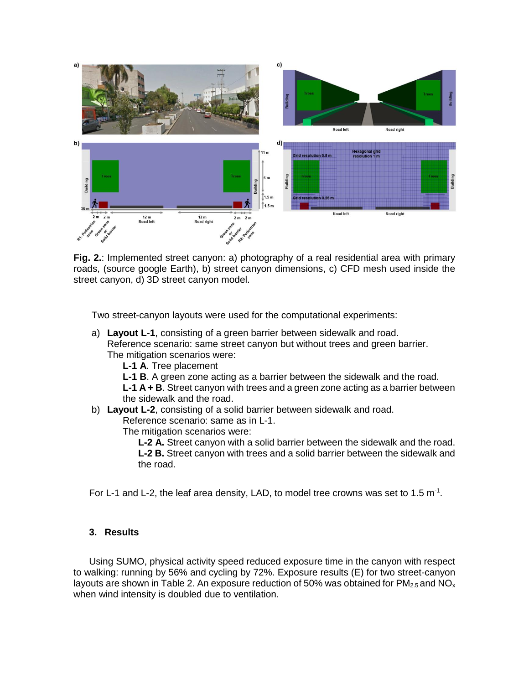

**Fig. 2.**: Implemented street canyon: a) photography of a real residential area with primary roads, (source google Earth), b) street canyon dimensions, c) CFD mesh used inside the street canyon, d) 3D street canyon model.

Two street-canyon layouts were used for the computational experiments:

- a) **Layout L-1**, consisting of a green barrier between sidewalk and road. Reference scenario: same street canyon but without trees and green barrier. The mitigation scenarios were:
	- **L-1 A**. Tree placement
	- **L-1 B**. A green zone acting as a barrier between the sidewalk and the road.

**L-1 A + B**. Street canyon with trees and a green zone acting as a barrier between the sidewalk and the road.

### b) **Layout L-2**, consisting of a solid barrier between sidewalk and road. Reference scenario: same as in L-1.

The mitigation scenarios were:

**L-2 A.** Street canyon with a solid barrier between the sidewalk and the road. **L-2 B.** Street canyon with trees and a solid barrier between the sidewalk and the road.

For L-1 and L-2, the leaf area density, LAD, to model tree crowns was set to 1.5  $m^{-1}$ .

# **3. Results**

Using SUMO, physical activity speed reduced exposure time in the canyon with respect to walking: running by 56% and cycling by 72%. Exposure results (E) for two street-canyon layouts are shown in Table 2. An exposure reduction of 50% was obtained for  $PM_{2.5}$  and NO<sub>x</sub> when wind intensity is doubled due to ventilation.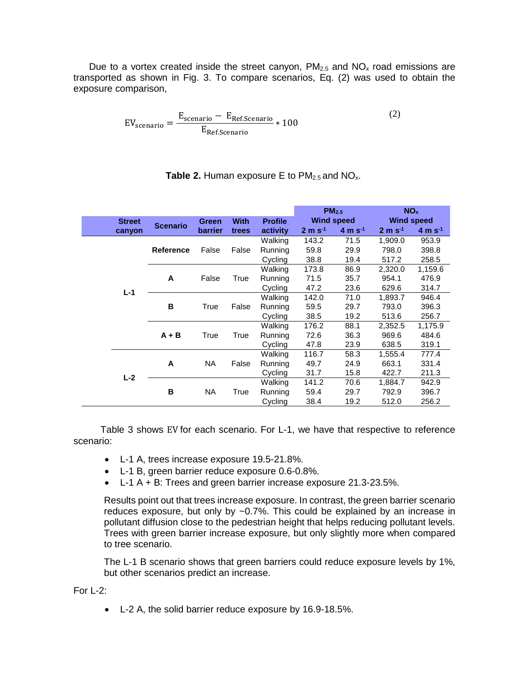Due to a vortex created inside the street canyon,  $PM_{2.5}$  and  $NO_{x}$  road emissions are transported as shown in Fig. 3. To compare scenarios, Eq. (2) was used to obtain the exposure comparison,

$$
EV_{\text{scenario}} = \frac{E_{\text{scenario}} - E_{\text{Ref.Scenario}}}{E_{\text{Ref.Scenario}}} * 100
$$
 (2)

|               |                  |                             |       |                | PM <sub>2.5</sub> |                      | NO <sub>x</sub>   |                      |
|---------------|------------------|-----------------------------|-------|----------------|-------------------|----------------------|-------------------|----------------------|
| <b>Street</b> |                  | <b>With</b><br><b>Green</b> |       | <b>Profile</b> | <b>Wind speed</b> |                      | <b>Wind speed</b> |                      |
| canyon        | <b>Scenario</b>  | <b>barrier</b>              | trees | activity       | $2 m s^{-1}$      | $4 \text{ m s}^{-1}$ | $2 m s^{-1}$      | $4 \text{ m s}^{-1}$ |
| $L-1$         |                  |                             |       | Walking        | 143.2             | 71.5                 | 1,909.0           | 953.9                |
|               | <b>Reference</b> | False                       | False | Running        | 59.8              | 29.9                 | 798.0             | 398.8                |
|               |                  |                             |       | Cycling        | 38.8              | 19.4                 | 517.2             | 258.5                |
|               | A                | False                       | True  | Walking        | 173.8             | 86.9                 | 2,320.0           | 1,159.6              |
|               |                  |                             |       | Running        | 71.5              | 35.7                 | 954.1             | 476.9                |
|               |                  |                             |       | Cycling        | 47.2              | 23.6                 | 629.6             | 314.7                |
|               | в                | True                        | False | Walking        | 142.0             | 71.0                 | 1,893.7           | 946.4                |
|               |                  |                             |       | Running        | 59.5              | 29.7                 | 793.0             | 396.3                |
|               |                  |                             |       | Cycling        | 38.5              | 19.2                 | 513.6             | 256.7                |
|               | $A + B$          | True                        | True  | Walking        | 176.2             | 88.1                 | 2,352.5           | 1,175.9              |
|               |                  |                             |       | Running        | 72.6              | 36.3                 | 969.6             | 484.6                |
|               |                  |                             |       | Cycling        | 47.8              | 23.9                 | 638.5             | 319.1                |
| $L-2$         | <b>NA</b><br>A   |                             | False | Walking        | 116.7             | 58.3                 | 1,555.4           | 777.4                |
|               |                  |                             |       | Running        | 49.7              | 24.9                 | 663.1             | 331.4                |
|               |                  |                             |       | Cycling        | 31.7              | 15.8                 | 422.7             | 211.3                |
|               |                  |                             |       | Walking        | 141.2             | 70.6                 | 1,884.7           | 942.9                |
|               | в                | NA.                         | True  | Running        | 59.4              | 29.7                 | 792.9             | 396.7                |
|               |                  |                             |       | Cycling        | 38.4              | 19.2                 | 512.0             | 256.2                |

# **Table 2.** Human exposure E to  $PM_{2.5}$  and  $NO_{x}$ .

Table 3 shows EV for each scenario. For L-1, we have that respective to reference scenario:

- L-1 A, trees increase exposure 19.5-21.8%.
- L-1 B, green barrier reduce exposure 0.6-0.8%.
- L-1 A + B: Trees and green barrier increase exposure 21.3-23.5%.

Results point out that trees increase exposure. In contrast, the green barrier scenario reduces exposure, but only by ~0.7%. This could be explained by an increase in pollutant diffusion close to the pedestrian height that helps reducing pollutant levels. Trees with green barrier increase exposure, but only slightly more when compared to tree scenario.

The L-1 B scenario shows that green barriers could reduce exposure levels by 1%, but other scenarios predict an increase.

For L-2:

• L-2 A, the solid barrier reduce exposure by 16.9-18.5%.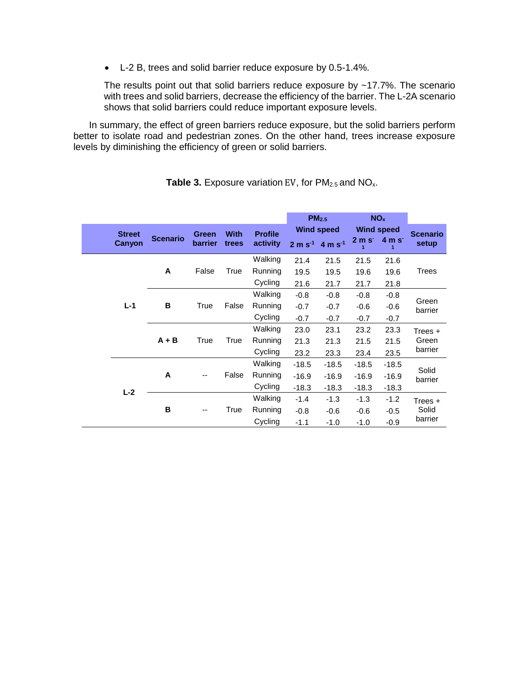• L-2 B, trees and solid barrier reduce exposure by 0.5-1.4%.

The results point out that solid barriers reduce exposure by  $~17.7\%$ . The scenario with trees and solid barriers, decrease the efficiency of the barrier. The L-2A scenario shows that solid barriers could reduce important exposure levels.

In summary, the effect of green barriers reduce exposure, but the solid barriers perform better to isolate road and pedestrian zones. On the other hand, trees increase exposure levels by diminishing the efficiency of green or solid barriers.

|               |         |                 |                         |                      |                            |                         | PM <sub>2.5</sub>        |                   | <b>NO<sub>x</sub></b> |                 |
|---------------|---------|-----------------|-------------------------|----------------------|----------------------------|-------------------------|--------------------------|-------------------|-----------------------|-----------------|
| <b>Street</b> |         | <b>Scenario</b> | <b>Green</b><br>barrier | <b>With</b><br>trees | <b>Profile</b><br>activity | <b>Wind speed</b>       |                          | <b>Wind speed</b> |                       | <b>Scenario</b> |
| Canyon        |         |                 |                         |                      |                            | $2 m s^{-1} 4 m s^{-1}$ | $2m$ s <sup>-</sup><br>1 | $4m$ s<br>1       | setup                 |                 |
|               |         |                 |                         |                      | Walking                    | 21.4                    | 21.5                     | 21.5              | 21.6                  |                 |
|               | A       | False           | True                    | Running              | 19.5                       | 19.5                    | 19.6                     | 19.6              | Trees                 |                 |
|               |         |                 |                         |                      | Cycling                    | 21.6                    | 21.7                     | 21.7              | 21.8                  |                 |
|               |         |                 |                         |                      | Walking                    | $-0.8$                  | $-0.8$                   | $-0.8$            | $-0.8$                |                 |
| $L-1$         | в       | True            | False                   | Running              | $-0.7$                     | $-0.7$                  | $-0.6$                   | $-0.6$            | Green<br>barrier      |                 |
|               |         |                 |                         | Cycling              | $-0.7$                     | $-0.7$                  | $-0.7$                   | $-0.7$            |                       |                 |
|               |         |                 |                         |                      | Walking                    | 23.0                    | 23.1                     | 23.2              | 23.3                  | Trees +         |
|               | $A + B$ | True            | True                    | Running              | 21.3                       | 21.3                    | 21.5                     | 21.5              | Green                 |                 |
|               |         |                 |                         |                      | Cycling                    | 23.2                    | 23.3                     | 23.4              | 23.5                  | barrier         |
| $L-2$         | A       |                 | False                   | Walking              | $-18.5$                    | $-18.5$                 | $-18.5$                  | $-18.5$           | Solid<br>barrier      |                 |
|               |         |                 |                         | Running              | $-16.9$                    | $-16.9$                 | $-16.9$                  | $-16.9$           |                       |                 |
|               |         |                 |                         | Cycling              | $-18.3$                    | $-18.3$                 | $-18.3$                  | $-18.3$           |                       |                 |
|               | в       |                 | True                    | Walking              | $-1.4$                     | $-1.3$                  | $-1.3$                   | $-1.2$            | Trees +<br>Solid      |                 |
|               |         |                 |                         | Running              | $-0.8$                     | $-0.6$                  | $-0.6$                   | $-0.5$            |                       |                 |
|               |         |                 |                         | Cycling              | $-1.1$                     | $-1.0$                  | $-1.0$                   | $-0.9$            | barrier               |                 |

**Table 3.** Exposure variation EV, for PM<sub>2.5</sub> and NO<sub>x</sub>.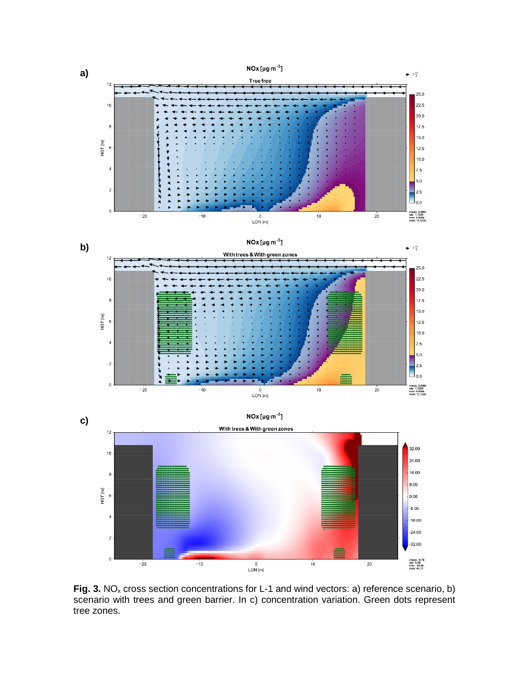

**Fig. 3.** NO<sub>x</sub> cross section concentrations for L-1 and wind vectors: a) reference scenario, b) scenario with trees and green barrier. In c) concentration variation. Green dots represent tree zones.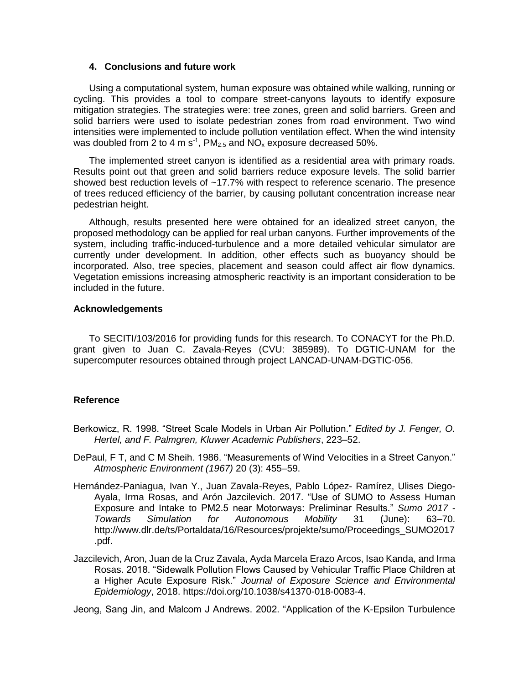# **4. Conclusions and future work**

Using a computational system, human exposure was obtained while walking, running or cycling. This provides a tool to compare street-canyons layouts to identify exposure mitigation strategies. The strategies were: tree zones, green and solid barriers. Green and solid barriers were used to isolate pedestrian zones from road environment. Two wind intensities were implemented to include pollution ventilation effect. When the wind intensity was doubled from 2 to 4 m s<sup>-1</sup>, PM<sub>2.5</sub> and NO<sub>x</sub> exposure decreased 50%.

The implemented street canyon is identified as a residential area with primary roads. Results point out that green and solid barriers reduce exposure levels. The solid barrier showed best reduction levels of ~17.7% with respect to reference scenario. The presence of trees reduced efficiency of the barrier, by causing pollutant concentration increase near pedestrian height.

Although, results presented here were obtained for an idealized street canyon, the proposed methodology can be applied for real urban canyons. Further improvements of the system, including traffic-induced-turbulence and a more detailed vehicular simulator are currently under development. In addition, other effects such as buoyancy should be incorporated. Also, tree species, placement and season could affect air flow dynamics. Vegetation emissions increasing atmospheric reactivity is an important consideration to be included in the future.

# **Acknowledgements**

To SECITI/103/2016 for providing funds for this research. To CONACYT for the Ph.D. grant given to Juan C. Zavala-Reyes (CVU: 385989). To DGTIC-UNAM for the supercomputer resources obtained through project LANCAD-UNAM-DGTIC-056.

# **Reference**

- Berkowicz, R. 1998. "Street Scale Models in Urban Air Pollution." *Edited by J. Fenger, O. Hertel, and F. Palmgren, Kluwer Academic Publishers*, 223–52.
- DePaul, F T, and C M Sheih. 1986. "Measurements of Wind Velocities in a Street Canyon." *Atmospheric Environment (1967)* 20 (3): 455–59.
- Hernández-Paniagua, Ivan Y., Juan Zavala-Reyes, Pablo López- Ramírez, Ulises Diego-Ayala, Irma Rosas, and Arón Jazcilevich. 2017. "Use of SUMO to Assess Human Exposure and Intake to PM2.5 near Motorways: Preliminar Results." *Sumo 2017 - Towards Simulation for Autonomous Mobility* 31 (June): 63–70. http://www.dlr.de/ts/Portaldata/16/Resources/projekte/sumo/Proceedings\_SUMO2017 .pdf.
- Jazcilevich, Aron, Juan de la Cruz Zavala, Ayda Marcela Erazo Arcos, Isao Kanda, and Irma Rosas. 2018. "Sidewalk Pollution Flows Caused by Vehicular Traffic Place Children at a Higher Acute Exposure Risk." *Journal of Exposure Science and Environmental Epidemiology*, 2018. https://doi.org/10.1038/s41370-018-0083-4.

Jeong, Sang Jin, and Malcom J Andrews. 2002. "Application of the K-Epsilon Turbulence